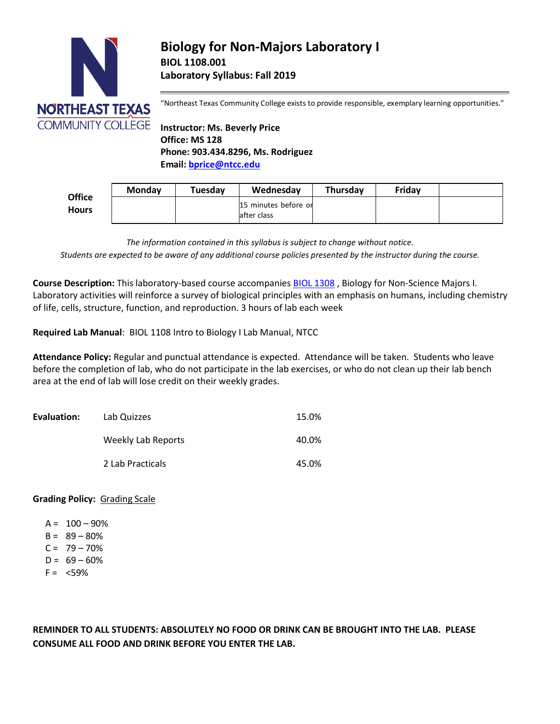

"Northeast Texas Community College exists to provide responsible, exemplary learning opportunities."

**Instructor: Ms. Beverly Price Office: MS 128 Phone: 903.434.8296, Ms. Rodriguez Email: [bprice@ntcc.edu](mailto:bprice@ntcc.edu)**

|                               | <b>Monday</b> | Tuesday | Wednesday                            | <b>Thursdav</b> | Friday |  |
|-------------------------------|---------------|---------|--------------------------------------|-----------------|--------|--|
| <b>Office</b><br><b>Hours</b> |               |         | 15 minutes before or<br>lafter class |                 |        |  |

*The information contained in this syllabus is subject to change without notice. Students are expected to be aware of any additional course policies presented by the instructor during the course.*

**Course Description:** This laboratory-based course accompanie[s BIOL 1308](http://catalog.ntcc.edu/content.php?catoid=6&catoid=6&navoid=894&filter%5Bitem_type%5D=3&filter%5Bonly_active%5D=1&filter%5B3%5D=1&filter%5Bcpage%5D=2#tt1842) , Biology for Non-Science Majors I. Laboratory activities will reinforce a survey of biological principles with an emphasis on humans, including chemistry of life, cells, structure, function, and reproduction. 3 hours of lab each week

**Required Lab Manual**: BIOL 1108 Intro to Biology I Lab Manual, NTCC

**Attendance Policy:** Regular and punctual attendance is expected. Attendance will be taken. Students who leave before the completion of lab, who do not participate in the lab exercises, or who do not clean up their lab bench area at the end of lab will lose credit on their weekly grades.

| Evaluation: | Lab Quizzes        | 15.0% |
|-------------|--------------------|-------|
|             | Weekly Lab Reports | 40.0% |
|             | 2 Lab Practicals   | 45.0% |

# **Grading Policy:** Grading Scale

- $A = 100 90%$
- $B = 89 80%$
- $C = 79 70%$
- $D = 69 60%$
- $F = <59\%$

**REMINDER TO ALL STUDENTS: ABSOLUTELY NO FOOD OR DRINK CAN BE BROUGHT INTO THE LAB. PLEASE CONSUME ALL FOOD AND DRINK BEFORE YOU ENTER THE LAB.**